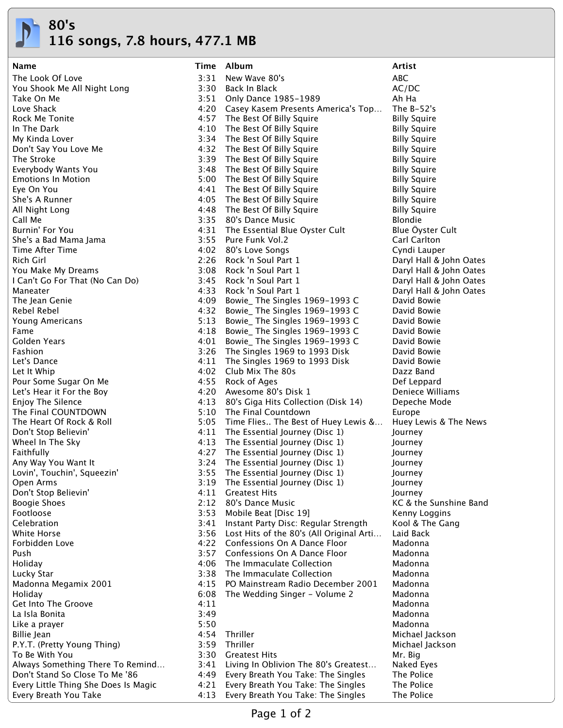

**116 songs, 7.8 hours, 477.1 MB**

| Name                                 |      | Time Album                                                               | Artist                     |
|--------------------------------------|------|--------------------------------------------------------------------------|----------------------------|
| The Look Of Love                     | 3:31 | New Wave 80's                                                            | <b>ABC</b>                 |
| You Shook Me All Night Long          |      | 3:30 Back In Black                                                       | AC/DC                      |
| Take On Me                           |      | 3:51 Only Dance 1985-1989                                                | Ah Ha                      |
| Love Shack                           |      | 4:20 Casey Kasem Presents America's Top                                  | The $B-52's$               |
| Rock Me Tonite                       |      | 4:57 The Best Of Billy Squire                                            | <b>Billy Squire</b>        |
| In The Dark                          |      | 4:10 The Best Of Billy Squire                                            | <b>Billy Squire</b>        |
| My Kinda Lover                       |      | 3:34 The Best Of Billy Squire                                            | <b>Billy Squire</b>        |
| Don't Say You Love Me                |      | 4:32 The Best Of Billy Squire                                            | <b>Billy Squire</b>        |
| The Stroke                           |      | 3:39 The Best Of Billy Squire                                            | <b>Billy Squire</b>        |
| Everybody Wants You                  |      | 3:48 The Best Of Billy Squire                                            | <b>Billy Squire</b>        |
| <b>Emotions In Motion</b>            |      | 5:00 The Best Of Billy Squire                                            | <b>Billy Squire</b>        |
| Eye On You                           |      | 4:41 The Best Of Billy Squire                                            | <b>Billy Squire</b>        |
| She's A Runner                       |      | 4:05 The Best Of Billy Squire                                            | <b>Billy Squire</b>        |
| All Night Long                       |      | 4:48 The Best Of Billy Squire                                            | <b>Billy Squire</b>        |
| Call Me                              |      | 3:35 80's Dance Music                                                    | <b>Blondie</b>             |
| Burnin' For You                      |      | 4:31 The Essential Blue Oyster Cult                                      | Blue Öyster Cult           |
| She's a Bad Mama Jama                |      | 3:55 Pure Funk Vol.2                                                     | Carl Carlton               |
| Time After Time                      |      | 4:02 80's Love Songs                                                     | Cyndi Lauper               |
| Rich Girl                            |      | 2:26 Rock 'n Soul Part 1                                                 | Daryl Hall & John Oates    |
| You Make My Dreams                   | 3:08 | Rock 'n Soul Part 1                                                      | Daryl Hall & John Oates    |
| I Can't Go For That (No Can Do)      | 3:45 | Rock 'n Soul Part 1                                                      | Daryl Hall & John Oates    |
| Maneater                             | 4:33 | Rock 'n Soul Part 1                                                      | Daryl Hall & John Oates    |
| The Jean Genie                       |      | 4:09 Bowie_ The Singles 1969-1993 C                                      | David Bowie                |
| Rebel Rebel                          | 4:32 | Bowie_The Singles 1969-1993 C                                            | David Bowie                |
| Young Americans                      | 5:13 | Bowie_ The Singles 1969-1993 C                                           | David Bowie                |
| Fame                                 |      | 4:18 Bowie_ The Singles 1969-1993 C                                      | David Bowie                |
| Golden Years<br>Fashion              | 4:01 | Bowie_ The Singles 1969-1993 C                                           | David Bowie<br>David Bowie |
| Let's Dance                          |      | 3:26 The Singles 1969 to 1993 Disk<br>4:11 The Singles 1969 to 1993 Disk | David Bowie                |
| Let It Whip                          |      | 4:02 Club Mix The 80s                                                    | Dazz Band                  |
| Pour Some Sugar On Me                |      | 4:55 Rock of Ages                                                        | Def Leppard                |
| Let's Hear it For the Boy            |      | 4:20 Awesome 80's Disk 1                                                 | Deniece Williams           |
| Enjoy The Silence                    |      | 4:13 80's Giga Hits Collection (Disk 14)                                 | Depeche Mode               |
| The Final COUNTDOWN                  |      | 5:10 The Final Countdown                                                 | Europe                     |
| The Heart Of Rock & Roll             |      | 5:05 Time Flies The Best of Huey Lewis &                                 | Huey Lewis & The News      |
| Don't Stop Believin'                 |      | 4:11 The Essential Journey (Disc 1)                                      | Journey                    |
| Wheel In The Sky                     |      | 4:13 The Essential Journey (Disc 1)                                      | Journey                    |
| Faithfully                           |      | 4:27 The Essential Journey (Disc 1)                                      | Journey                    |
| Any Way You Want It                  |      | 3:24 The Essential Journey (Disc 1)                                      | Journey                    |
| Lovin', Touchin', Squeezin'          | 3:55 | The Essential Journey (Disc 1)                                           | Journey                    |
| Open Arms                            | 3:19 | The Essential Journey (Disc 1)                                           | Journey                    |
| Don't Stop Believin'                 | 4:11 | <b>Greatest Hits</b>                                                     | Journey                    |
| <b>Boogie Shoes</b>                  | 2:12 | 80's Dance Music                                                         | KC & the Sunshine Band     |
| Footloose                            | 3:53 | Mobile Beat [Disc 19]                                                    | Kenny Loggins              |
| Celebration                          | 3:41 | Instant Party Disc: Regular Strength                                     | Kool & The Gang            |
| White Horse                          |      | 3:56 Lost Hits of the 80's (All Original Arti                            | Laid Back                  |
| Forbidden Love                       |      | 4:22 Confessions On A Dance Floor                                        | Madonna                    |
| Push                                 | 3:57 | Confessions On A Dance Floor                                             | Madonna                    |
| Holiday                              | 4:06 | The Immaculate Collection                                                | Madonna                    |
| Lucky Star                           |      | 3:38 The Immaculate Collection                                           | Madonna                    |
| Madonna Megamix 2001                 | 4:15 | PO Mainstream Radio December 2001                                        | Madonna                    |
| Holiday                              | 6:08 | The Wedding Singer - Volume 2                                            | Madonna                    |
| Get Into The Groove                  | 4:11 |                                                                          | Madonna                    |
| La Isla Bonita                       | 3:49 |                                                                          | Madonna                    |
| Like a prayer                        | 5:50 |                                                                          | Madonna                    |
| Billie Jean                          | 4:54 | Thriller                                                                 | Michael Jackson            |
| P.Y.T. (Pretty Young Thing)          | 3:59 | Thriller                                                                 | Michael Jackson            |
| To Be With You                       |      | 3:30 Greatest Hits                                                       | Mr. Big                    |
| Always Something There To Remind     |      | 3:41 Living In Oblivion The 80's Greatest                                | Naked Eyes                 |
| Don't Stand So Close To Me '86       |      | 4:49 Every Breath You Take: The Singles                                  | The Police                 |
| Every Little Thing She Does Is Magic | 4:21 | Every Breath You Take: The Singles                                       | The Police                 |
| Every Breath You Take                | 4:13 | Every Breath You Take: The Singles                                       | The Police                 |